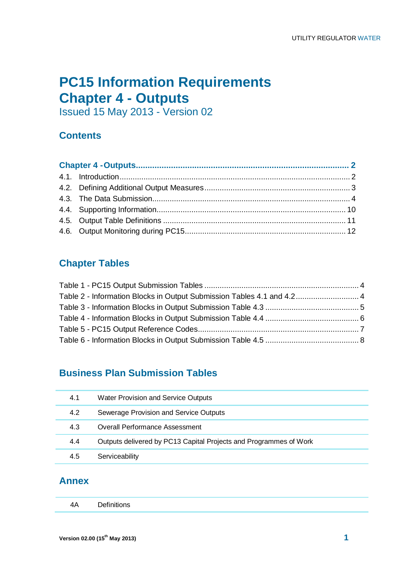# **PC15 Information Requirements Chapter 4 - Outputs**

Issued 15 May 2013 - Version 02

## **Contents**

## **Chapter Tables**

| Table 2 - Information Blocks in Output Submission Tables 4.1 and 4.2 4 |  |
|------------------------------------------------------------------------|--|
|                                                                        |  |
|                                                                        |  |
|                                                                        |  |
|                                                                        |  |

# **Business Plan Submission Tables**

| 4.1 | <b>Water Provision and Service Outputs</b>                        |
|-----|-------------------------------------------------------------------|
| 4.2 | Sewerage Provision and Service Outputs                            |
| 4.3 | <b>Overall Performance Assessment</b>                             |
| 4.4 | Outputs delivered by PC13 Capital Projects and Programmes of Work |
| 4.5 | Serviceability                                                    |

## **Annex**

|  | Definitions |  |
|--|-------------|--|
|--|-------------|--|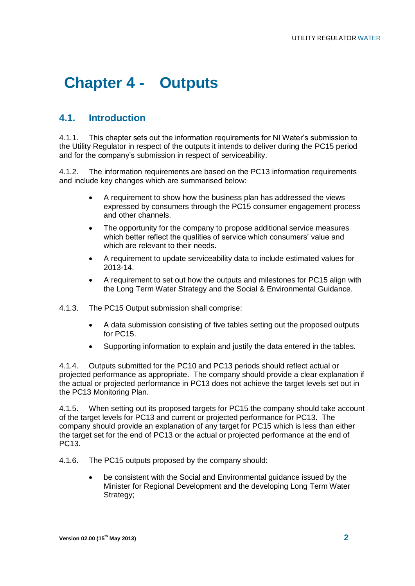# **Chapter 4 - Outputs**

## **4.1. Introduction**

4.1.1. This chapter sets out the information requirements for NI Water"s submission to the Utility Regulator in respect of the outputs it intends to deliver during the PC15 period and for the company's submission in respect of serviceability.

4.1.2. The information requirements are based on the PC13 information requirements and include key changes which are summarised below:

- A requirement to show how the business plan has addressed the views expressed by consumers through the PC15 consumer engagement process and other channels.
- The opportunity for the company to propose additional service measures which better reflect the qualities of service which consumers' value and which are relevant to their needs.
- A requirement to update serviceability data to include estimated values for 2013-14.
- A requirement to set out how the outputs and milestones for PC15 align with the Long Term Water Strategy and the Social & Environmental Guidance.
- 4.1.3. The PC15 Output submission shall comprise:
	- A data submission consisting of five tables setting out the proposed outputs for PC15.
	- Supporting information to explain and justify the data entered in the tables.

4.1.4. Outputs submitted for the PC10 and PC13 periods should reflect actual or projected performance as appropriate. The company should provide a clear explanation if the actual or projected performance in PC13 does not achieve the target levels set out in the PC13 Monitoring Plan.

4.1.5. When setting out its proposed targets for PC15 the company should take account of the target levels for PC13 and current or projected performance for PC13. The company should provide an explanation of any target for PC15 which is less than either the target set for the end of PC13 or the actual or projected performance at the end of PC13.

- 4.1.6. The PC15 outputs proposed by the company should:
	- be consistent with the Social and Environmental guidance issued by the Minister for Regional Development and the developing Long Term Water Strategy;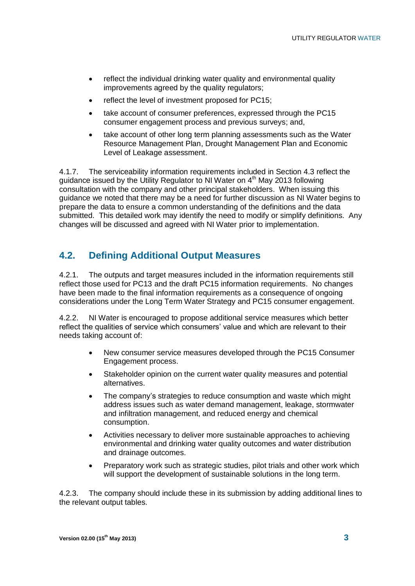- reflect the individual drinking water quality and environmental quality improvements agreed by the quality regulators;
- reflect the level of investment proposed for PC15;
- take account of consumer preferences, expressed through the PC15 consumer engagement process and previous surveys; and,
- take account of other long term planning assessments such as the Water Resource Management Plan, Drought Management Plan and Economic Level of Leakage assessment.

4.1.7. The serviceability information requirements included in Section 4.3 reflect the guidance issued by the Utility Regulator to NI Water on 4<sup>th</sup> May 2013 following consultation with the company and other principal stakeholders. When issuing this guidance we noted that there may be a need for further discussion as NI Water begins to prepare the data to ensure a common understanding of the definitions and the data submitted. This detailed work may identify the need to modify or simplify definitions. Any changes will be discussed and agreed with NI Water prior to implementation.

## **4.2. Defining Additional Output Measures**

4.2.1. The outputs and target measures included in the information requirements still reflect those used for PC13 and the draft PC15 information requirements. No changes have been made to the final information requirements as a consequence of ongoing considerations under the Long Term Water Strategy and PC15 consumer engagement.

4.2.2. NI Water is encouraged to propose additional service measures which better reflect the qualities of service which consumers' value and which are relevant to their needs taking account of:

- New consumer service measures developed through the PC15 Consumer Engagement process.
- Stakeholder opinion on the current water quality measures and potential alternatives.
- The company"s strategies to reduce consumption and waste which might address issues such as water demand management, leakage, stormwater and infiltration management, and reduced energy and chemical consumption.
- Activities necessary to deliver more sustainable approaches to achieving environmental and drinking water quality outcomes and water distribution and drainage outcomes.
- Preparatory work such as strategic studies, pilot trials and other work which will support the development of sustainable solutions in the long term.

4.2.3. The company should include these in its submission by adding additional lines to the relevant output tables.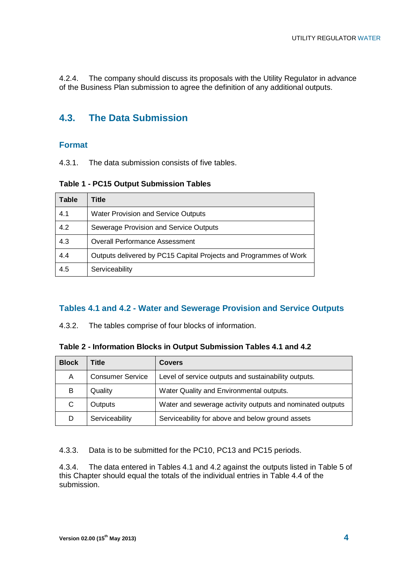4.2.4. The company should discuss its proposals with the Utility Regulator in advance of the Business Plan submission to agree the definition of any additional outputs.

## **4.3. The Data Submission**

#### **Format**

4.3.1. The data submission consists of five tables.

**Table 1 - PC15 Output Submission Tables**

| Table | Title                                                             |
|-------|-------------------------------------------------------------------|
| 4.1   | <b>Water Provision and Service Outputs</b>                        |
| 4.2   | Sewerage Provision and Service Outputs                            |
| 4.3   | <b>Overall Performance Assessment</b>                             |
| 4.4   | Outputs delivered by PC15 Capital Projects and Programmes of Work |
| 4.5   | Serviceability                                                    |

#### **Tables 4.1 and 4.2 - Water and Sewerage Provision and Service Outputs**

4.3.2. The tables comprise of four blocks of information.

**Table 2 - Information Blocks in Output Submission Tables 4.1 and 4.2**

| <b>Block</b>                                                                         | Title          | <b>Covers</b>                                             |
|--------------------------------------------------------------------------------------|----------------|-----------------------------------------------------------|
| <b>Consumer Service</b><br>Level of service outputs and sustainability outputs.<br>A |                |                                                           |
| B                                                                                    | Quality        | Water Quality and Environmental outputs.                  |
| C.                                                                                   | Outputs        | Water and sewerage activity outputs and nominated outputs |
|                                                                                      | Serviceability | Serviceability for above and below ground assets          |

4.3.3. Data is to be submitted for the PC10, PC13 and PC15 periods.

4.3.4. The data entered in Tables 4.1 and 4.2 against the outputs listed in [Table 5](#page-6-0) of this Chapter should equal the totals of the individual entries in Table 4.4 of the submission.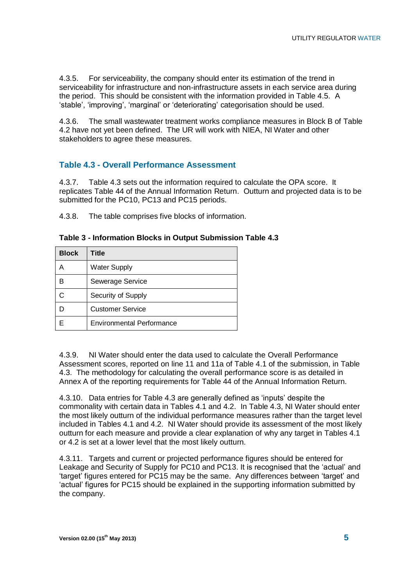4.3.5. For serviceability, the company should enter its estimation of the trend in serviceability for infrastructure and non-infrastructure assets in each service area during the period. This should be consistent with the information provided in Table 4.5. A "stable", "improving", "marginal" or "deteriorating" categorisation should be used.

4.3.6. The small wastewater treatment works compliance measures in Block B of Table 4.2 have not yet been defined. The UR will work with NIEA, NI Water and other stakeholders to agree these measures.

### **Table 4.3 - Overall Performance Assessment**

4.3.7. Table 4.3 sets out the information required to calculate the OPA score. It replicates Table 44 of the Annual Information Return. Outturn and projected data is to be submitted for the PC10, PC13 and PC15 periods.

4.3.8. The table comprises five blocks of information.

| <b>Block</b> | Title                            |
|--------------|----------------------------------|
| Α            | <b>Water Supply</b>              |
| B            | Sewerage Service                 |
|              | Security of Supply               |
|              | <b>Customer Service</b>          |
|              | <b>Environmental Performance</b> |

#### **Table 3 - Information Blocks in Output Submission Table 4.3**

4.3.9. NI Water should enter the data used to calculate the Overall Performance Assessment scores, reported on line 11 and 11a of Table 4.1 of the submission, in Table 4.3. The methodology for calculating the overall performance score is as detailed in Annex A of the reporting requirements for Table 44 of the Annual Information Return.

4.3.10. Data entries for Table 4.3 are generally defined as "inputs" despite the commonality with certain data in Tables 4.1 and 4.2. In Table 4.3, NI Water should enter the most likely outturn of the individual performance measures rather than the target level included in Tables 4.1 and 4.2. NI Water should provide its assessment of the most likely outturn for each measure and provide a clear explanation of why any target in Tables 4.1 or 4.2 is set at a lower level that the most likely outturn.

4.3.11. Targets and current or projected performance figures should be entered for Leakage and Security of Supply for PC10 and PC13. It is recognised that the "actual" and "target" figures entered for PC15 may be the same. Any differences between "target" and "actual" figures for PC15 should be explained in the supporting information submitted by the company.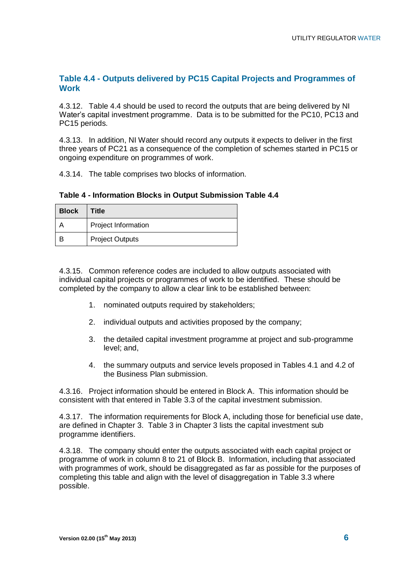## **Table 4.4 - Outputs delivered by PC15 Capital Projects and Programmes of Work**

4.3.12. Table 4.4 should be used to record the outputs that are being delivered by NI Water"s capital investment programme. Data is to be submitted for the PC10, PC13 and PC15 periods.

4.3.13. In addition, NI Water should record any outputs it expects to deliver in the first three years of PC21 as a consequence of the completion of schemes started in PC15 or ongoing expenditure on programmes of work.

4.3.14. The table comprises two blocks of information.

**Table 4 - Information Blocks in Output Submission Table 4.4**

| <b>Block</b> | Title                  |
|--------------|------------------------|
|              | Project Information    |
|              | <b>Project Outputs</b> |

4.3.15. Common reference codes are included to allow outputs associated with individual capital projects or programmes of work to be identified. These should be completed by the company to allow a clear link to be established between:

- 1. nominated outputs required by stakeholders;
- 2. individual outputs and activities proposed by the company;
- 3. the detailed capital investment programme at project and sub-programme level; and,
- 4. the summary outputs and service levels proposed in Tables 4.1 and 4.2 of the Business Plan submission.

4.3.16. Project information should be entered in Block A. This information should be consistent with that entered in Table 3.3 of the capital investment submission.

4.3.17. The information requirements for Block A, including those for beneficial use date, are defined in Chapter 3. Table 3 in Chapter 3 lists the capital investment sub programme identifiers.

4.3.18. The company should enter the outputs associated with each capital project or programme of work in column 8 to 21 of Block B. Information, including that associated with programmes of work, should be disaggregated as far as possible for the purposes of completing this table and align with the level of disaggregation in Table 3.3 where possible.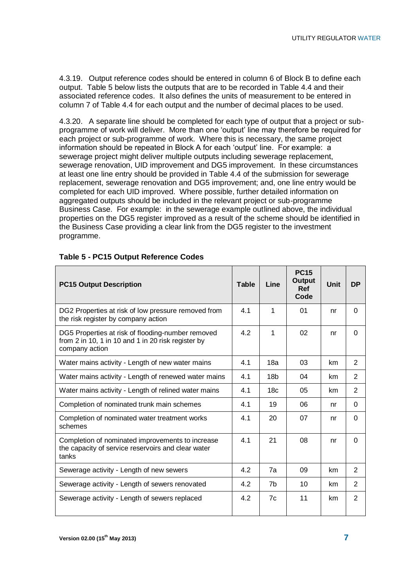4.3.19. Output reference codes should be entered in column 6 of Block B to define each output. [Table 5](#page-6-0) below lists the outputs that are to be recorded in Table 4.4 and their associated reference codes. It also defines the units of measurement to be entered in column 7 of Table 4.4 for each output and the number of decimal places to be used.

4.3.20. A separate line should be completed for each type of output that a project or subprogramme of work will deliver. More than one "output" line may therefore be required for each project or sub-programme of work. Where this is necessary, the same project information should be repeated in Block A for each 'output' line. For example: a sewerage project might deliver multiple outputs including sewerage replacement, sewerage renovation, UID improvement and DG5 improvement. In these circumstances at least one line entry should be provided in Table 4.4 of the submission for sewerage replacement, sewerage renovation and DG5 improvement; and, one line entry would be completed for each UID improved. Where possible, further detailed information on aggregated outputs should be included in the relevant project or sub-programme Business Case. For example: in the sewerage example outlined above, the individual properties on the DG5 register improved as a result of the scheme should be identified in the Business Case providing a clear link from the DG5 register to the investment programme.

| <b>PC15 Output Description</b>                                                                                            | <b>Table</b> | Line            | <b>PC15</b><br><b>Output</b><br><b>Ref</b><br>Code | <b>Unit</b> | <b>DP</b>      |
|---------------------------------------------------------------------------------------------------------------------------|--------------|-----------------|----------------------------------------------------|-------------|----------------|
| DG2 Properties at risk of low pressure removed from<br>the risk register by company action                                | 4.1          | 1               | 01                                                 | nr          | $\Omega$       |
| DG5 Properties at risk of flooding-number removed<br>from 2 in 10, 1 in 10 and 1 in 20 risk register by<br>company action | 4.2          | 1               | 02                                                 | nr          | $\Omega$       |
| Water mains activity - Length of new water mains                                                                          | 4.1          | 18a             | 03                                                 | km          | $\overline{2}$ |
| Water mains activity - Length of renewed water mains                                                                      | 4.1          | 18 <sub>b</sub> | 04                                                 | km          | $\overline{2}$ |
| Water mains activity - Length of relined water mains                                                                      | 4.1          | 18 <sub>c</sub> | 05                                                 | km          | 2              |
| Completion of nominated trunk main schemes                                                                                | 4.1          | 19              | 06                                                 | nr          | 0              |
| Completion of nominated water treatment works<br>schemes                                                                  | 4.1          | 20              | 07                                                 | nr          | $\Omega$       |
| Completion of nominated improvements to increase<br>the capacity of service reservoirs and clear water<br>tanks           | 4.1          | 21              | 08                                                 | nr          | $\Omega$       |
| Sewerage activity - Length of new sewers                                                                                  | 4.2          | 7a              | 09                                                 | km          | 2              |
| Sewerage activity - Length of sewers renovated                                                                            | 4.2          | 7b              | 10                                                 | km          | 2              |
| Sewerage activity - Length of sewers replaced                                                                             | 4.2          | 7c              | 11                                                 | km          | 2              |

#### <span id="page-6-0"></span>**Table 5 - PC15 Output Reference Codes**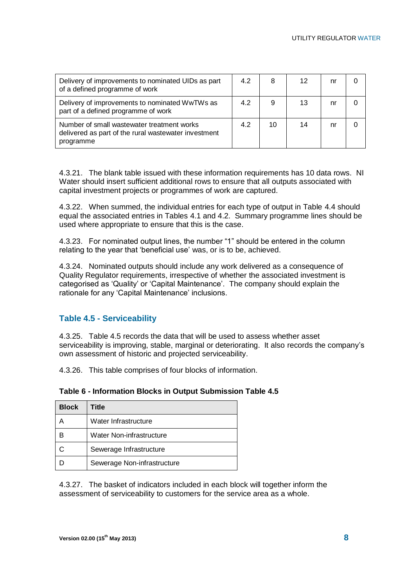| Delivery of improvements to nominated UIDs as part<br>of a defined programme of work                            | 4.2 | 8  | 12 | nr |  |
|-----------------------------------------------------------------------------------------------------------------|-----|----|----|----|--|
| Delivery of improvements to nominated WwTWs as<br>part of a defined programme of work                           | 4.2 | 9  | 13 | nr |  |
| Number of small wastewater treatment works<br>delivered as part of the rural wastewater investment<br>programme | 4.2 | 10 | 14 | nr |  |

4.3.21. The blank table issued with these information requirements has 10 data rows. NI Water should insert sufficient additional rows to ensure that all outputs associated with capital investment projects or programmes of work are captured.

4.3.22. When summed, the individual entries for each type of output in Table 4.4 should equal the associated entries in Tables 4.1 and 4.2. Summary programme lines should be used where appropriate to ensure that this is the case.

4.3.23. For nominated output lines, the number "1" should be entered in the column relating to the year that "beneficial use" was, or is to be, achieved.

4.3.24. Nominated outputs should include any work delivered as a consequence of Quality Regulator requirements, irrespective of whether the associated investment is categorised as "Quality" or "Capital Maintenance". The company should explain the rationale for any 'Capital Maintenance' inclusions.

### **Table 4.5 - Serviceability**

4.3.25. Table 4.5 records the data that will be used to assess whether asset serviceability is improving, stable, marginal or deteriorating. It also records the company's own assessment of historic and projected serviceability.

4.3.26. This table comprises of four blocks of information.

| <b>Block</b> | <b>Title</b>                |
|--------------|-----------------------------|
|              | Water Infrastructure        |
|              | Water Non-infrastructure    |
|              | Sewerage Infrastructure     |
|              | Sewerage Non-infrastructure |

#### **Table 6 - Information Blocks in Output Submission Table 4.5**

4.3.27. The basket of indicators included in each block will together inform the assessment of serviceability to customers for the service area as a whole.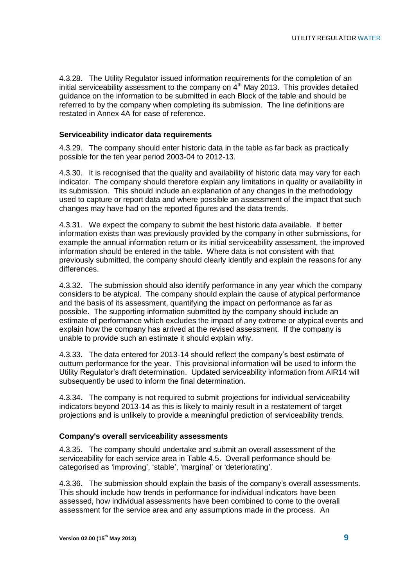4.3.28. The Utility Regulator issued information requirements for the completion of an initial serviceability assessment to the company on  $4<sup>th</sup>$  May 2013. This provides detailed guidance on the information to be submitted in each Block of the table and should be referred to by the company when completing its submission. The line definitions are restated in Annex 4A for ease of reference.

#### **Serviceability indicator data requirements**

4.3.29. The company should enter historic data in the table as far back as practically possible for the ten year period 2003-04 to 2012-13.

4.3.30. It is recognised that the quality and availability of historic data may vary for each indicator. The company should therefore explain any limitations in quality or availability in its submission. This should include an explanation of any changes in the methodology used to capture or report data and where possible an assessment of the impact that such changes may have had on the reported figures and the data trends.

4.3.31. We expect the company to submit the best historic data available. If better information exists than was previously provided by the company in other submissions, for example the annual information return or its initial serviceability assessment, the improved information should be entered in the table. Where data is not consistent with that previously submitted, the company should clearly identify and explain the reasons for any differences.

4.3.32. The submission should also identify performance in any year which the company considers to be atypical. The company should explain the cause of atypical performance and the basis of its assessment, quantifying the impact on performance as far as possible. The supporting information submitted by the company should include an estimate of performance which excludes the impact of any extreme or atypical events and explain how the company has arrived at the revised assessment. If the company is unable to provide such an estimate it should explain why.

4.3.33. The data entered for 2013-14 should reflect the company"s best estimate of outturn performance for the year. This provisional information will be used to inform the Utility Regulator"s draft determination. Updated serviceability information from AIR14 will subsequently be used to inform the final determination.

4.3.34. The company is not required to submit projections for individual serviceability indicators beyond 2013-14 as this is likely to mainly result in a restatement of target projections and is unlikely to provide a meaningful prediction of serviceability trends.

#### **Company's overall serviceability assessments**

4.3.35. The company should undertake and submit an overall assessment of the serviceability for each service area in Table 4.5. Overall performance should be categorised as 'improving', 'stable', 'marginal' or 'deteriorating'.

4.3.36. The submission should explain the basis of the company"s overall assessments. This should include how trends in performance for individual indicators have been assessed, how individual assessments have been combined to come to the overall assessment for the service area and any assumptions made in the process. An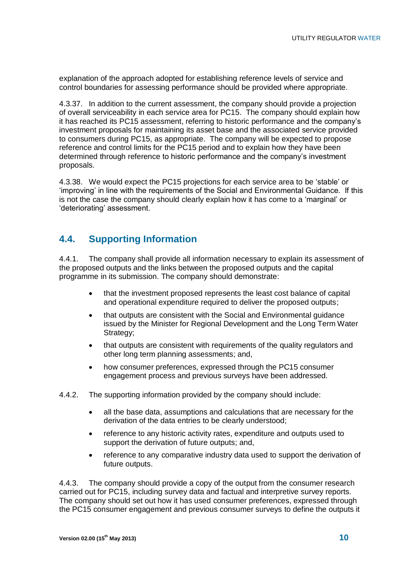explanation of the approach adopted for establishing reference levels of service and control boundaries for assessing performance should be provided where appropriate.

4.3.37. In addition to the current assessment, the company should provide a projection of overall serviceability in each service area for PC15. The company should explain how it has reached its PC15 assessment, referring to historic performance and the company"s investment proposals for maintaining its asset base and the associated service provided to consumers during PC15, as appropriate. The company will be expected to propose reference and control limits for the PC15 period and to explain how they have been determined through reference to historic performance and the company"s investment proposals.

4.3.38. We would expect the PC15 projections for each service area to be "stable" or "improving" in line with the requirements of the Social and Environmental Guidance. If this is not the case the company should clearly explain how it has come to a "marginal" or 'deteriorating' assessment.

## **4.4. Supporting Information**

4.4.1. The company shall provide all information necessary to explain its assessment of the proposed outputs and the links between the proposed outputs and the capital programme in its submission. The company should demonstrate:

- that the investment proposed represents the least cost balance of capital and operational expenditure required to deliver the proposed outputs;
- that outputs are consistent with the Social and Environmental guidance issued by the Minister for Regional Development and the Long Term Water Strategy;
- that outputs are consistent with requirements of the quality regulators and other long term planning assessments; and,
- how consumer preferences, expressed through the PC15 consumer engagement process and previous surveys have been addressed.
- 4.4.2. The supporting information provided by the company should include:
	- all the base data, assumptions and calculations that are necessary for the derivation of the data entries to be clearly understood;
	- reference to any historic activity rates, expenditure and outputs used to support the derivation of future outputs; and,
	- reference to any comparative industry data used to support the derivation of future outputs.

4.4.3. The company should provide a copy of the output from the consumer research carried out for PC15, including survey data and factual and interpretive survey reports. The company should set out how it has used consumer preferences, expressed through the PC15 consumer engagement and previous consumer surveys to define the outputs it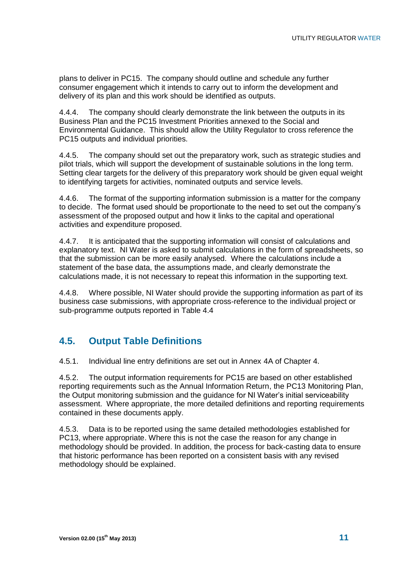plans to deliver in PC15. The company should outline and schedule any further consumer engagement which it intends to carry out to inform the development and delivery of its plan and this work should be identified as outputs.

4.4.4. The company should clearly demonstrate the link between the outputs in its Business Plan and the PC15 Investment Priorities annexed to the Social and Environmental Guidance. This should allow the Utility Regulator to cross reference the PC15 outputs and individual priorities.

4.4.5. The company should set out the preparatory work, such as strategic studies and pilot trials, which will support the development of sustainable solutions in the long term. Setting clear targets for the delivery of this preparatory work should be given equal weight to identifying targets for activities, nominated outputs and service levels.

4.4.6. The format of the supporting information submission is a matter for the company to decide. The format used should be proportionate to the need to set out the company"s assessment of the proposed output and how it links to the capital and operational activities and expenditure proposed.

4.4.7. It is anticipated that the supporting information will consist of calculations and explanatory text. NI Water is asked to submit calculations in the form of spreadsheets, so that the submission can be more easily analysed. Where the calculations include a statement of the base data, the assumptions made, and clearly demonstrate the calculations made, it is not necessary to repeat this information in the supporting text.

4.4.8. Where possible, NI Water should provide the supporting information as part of its business case submissions, with appropriate cross-reference to the individual project or sub-programme outputs reported in Table 4.4

## **4.5. Output Table Definitions**

4.5.1. Individual line entry definitions are set out in Annex 4A of Chapter 4.

4.5.2. The output information requirements for PC15 are based on other established reporting requirements such as the Annual Information Return, the PC13 Monitoring Plan, the Output monitoring submission and the guidance for NI Water"s initial serviceability assessment. Where appropriate, the more detailed definitions and reporting requirements contained in these documents apply.

4.5.3. Data is to be reported using the same detailed methodologies established for PC13, where appropriate. Where this is not the case the reason for any change in methodology should be provided. In addition, the process for back-casting data to ensure that historic performance has been reported on a consistent basis with any revised methodology should be explained.